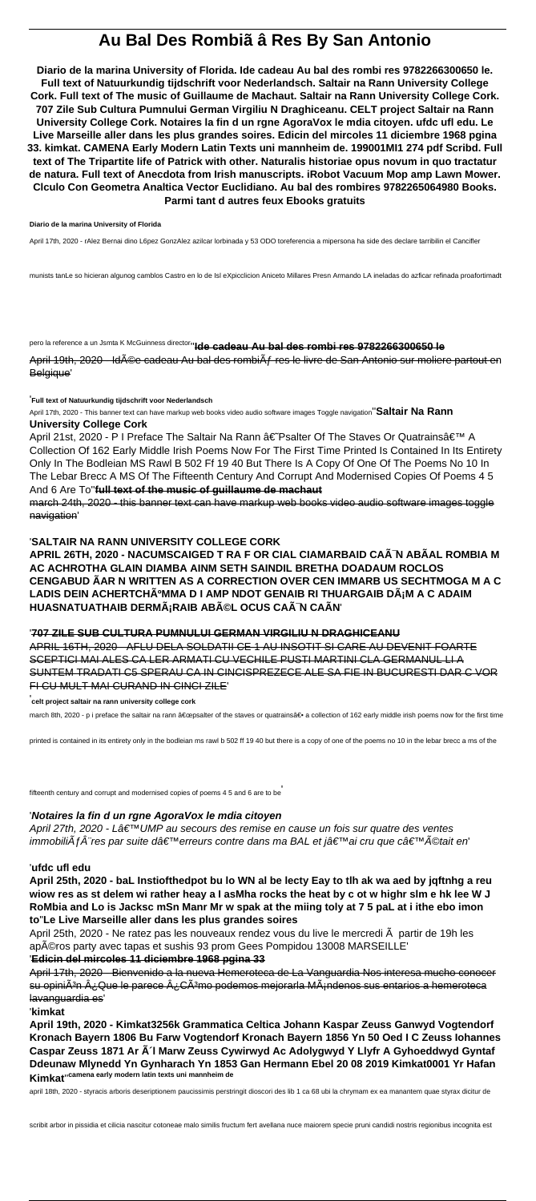# **Au Bal Des Rombiã â Res By San Antonio**

**Diario de la marina University of Florida. Ide cadeau Au bal des rombi res 9782266300650 le. Full text of Natuurkundig tijdschrift voor Nederlandsch. Saltair na Rann University College Cork. Full text of The music of Guillaume de Machaut. Saltair na Rann University College Cork. 707 Zile Sub Cultura Pumnului German Virgiliu N Draghiceanu. CELT project Saltair na Rann University College Cork. Notaires la fin d un rgne AgoraVox le mdia citoyen. ufdc ufl edu. Le Live Marseille aller dans les plus grandes soires. Edicin del mircoles 11 diciembre 1968 pgina 33. kimkat. CAMENA Early Modern Latin Texts uni mannheim de. 199001MI1 274 pdf Scribd. Full text of The Tripartite life of Patrick with other. Naturalis historiae opus novum in quo tractatur de natura. Full text of Anecdota from Irish manuscripts. iRobot Vacuum Mop amp Lawn Mower. Clculo Con Geometra Analtica Vector Euclidiano. Au bal des rombires 9782265064980 Books. Parmi tant d autres feux Ebooks gratuits**

April 19th, 2020 - Id©e cadeau Au bal des rombiÂf res le livre de San Antonio sur moliere partout en Belgique'

#### **Diario de la marina University of Florida**

April 21st, 2020 - P I Preface The Saltair Na Rann †Psalter Of The Staves Or Quatrainsâ E<sup>™</sup> A Collection Of 162 Early Middle Irish Poems Now For The First Time Printed Is Contained In Its Entirety Only In The Bodleian MS Rawl B 502 Ff 19 40 But There Is A Copy Of One Of The Poems No 10 In The Lebar Brecc A MS Of The Fifteenth Century And Corrupt And Modernised Copies Of Poems 4 5 And 6 Are To''**full text of the music of guillaume de machaut**

April 17th, 2020 - rAlez Bernai dino L6pez GonzAlez azilcar lorbinada y 53 ODO toreferencia a mipersona ha side des declare tarribilin el Cancifler

munists tanLe so hicieran algunog camblos Castro en lo de Isl eXpicclicion Aniceto Millares Presn Armando LA ineladas do azficar refinada proafortimadt

pero la reference a un Jsmta K McGuinness director''**Ide cadeau Au bal des rombi res 9782266300650 le**

'**Full text of Natuurkundig tijdschrift voor Nederlandsch**

April 17th, 2020 - This banner text can have markup web books video audio software images Toggle navigation''**Saltair Na Rann**

#### **University College Cork**

apéros party avec tapas et sushis 93 prom Gees Pompidou 13008 MARSEILLE' '**Edicin del mircoles 11 diciembre 1968 pgina 33**

march 24th, 2020 - this banner text can have markup web books video audio software images toggle navigation'

#### '**SALTAIR NA RANN UNIVERSITY COLLEGE CORK**

**APRIL 26TH, 2020 - NACUMSCAIGED T RA F OR CIAL CIAMARBAID CAÃ N ABÃAL ROMBIA M AC ACHROTHA GLAIN DIAMBA AINM SETH SAINDIL BRETHA DOADAUM ROCLOS CENGABUD ÃAR N WRITTEN AS A CORRECTION OVER CEN IMMARB US SECHTMOGA M A C** LADIS DEIN ACHERTCHúMMA D I AMP NDOT GENAIB RI THUARGAIB DáM A C ADAIM **HUASNATUATHAIB DERM¡RAIB ABéL OCUS CAÙ CAÃN'** 

## '**707 ZILE SUB CULTURA PUMNULUI GERMAN VIRGILIU N DRAGHICEANU**

APRIL 16TH, 2020 - AFLU DELA SOLDATII CE 1 AU INSOTIT SI CARE AU DEVENIT FOARTE SCEPTICI MAI ALES CA LER ARMATI CU VECHILE PUSTI MARTINI CLA GERMANUL LI A SUNTEM TRADATI C5 SPERAU CA IN CINCISPREZECE ALE SA FIE IN BUCURESTI DAR C VOR FI CU MULT MAI CURAND IN CINCI ZILE'

'**celt project saltair na rann university college cork**

march 8th, 2020 - p i preface the saltair na rann "psalter of the staves or quatrains― a collection of 162 early middle irish poems now for the first time

printed is contained in its entirety only in the bodleian ms rawl b 502 ff 19 40 but there is a copy of one of the poems no 10 in the lebar brecc a ms of the

fifteenth century and corrupt and modernised copies of poems 4 5 and 6 are to be'

#### '**Notaires la fin d un rgne AgoraVox le mdia citoyen**

April 27th, 2020 - Lâ $\epsilon \textsuperscript{TW}$ UMP au secours des remise en cause un fois sur quatre des ventes immobiliÂf res par suite d'erreurs contre dans ma BAL et j'ai cru que c'©tait en

#### '**ufdc ufl edu**

**April 25th, 2020 - baL Instiofthedpot bu lo WN al be lecty Eay to tlh ak wa aed by jqftnhg a reu wiow res as st delem wi rather heay a I asMha rocks the heat by c ot w highr slm e hk lee W J RoMbia and Lo is Jacksc mSn Manr Mr w spak at the miing toly at 7 5 paL at i ithe ebo imon to**''**Le Live Marseille aller dans les plus grandes soires**

April 25th, 2020 - Ne ratez pas les nouveaux rendez vous du live le mercredi  $\tilde{A}$  partir de 19h les

April 17th, 2020 - Bienvenido a la nueva Hemeroteca de La Vanguardia Nos interesa mucho conocer su opiniÂ<sup>3</sup>n ¿Que le parece ¿CÂ<sup>3</sup>mo podemos mejorarla MÂ<sub>i</sub>ndenos sus entarios a hemeroteca lavanguardia es'

'**kimkat**

**April 19th, 2020 - Kimkat3256k Grammatica Celtica Johann Kaspar Zeuss Ganwyd Vogtendorf Kronach Bayern 1806 Bu Farw Vogtendorf Kronach Bayern 1856 Yn 50 Oed I C Zeuss Iohannes Caspar Zeuss 1871 Ar ôl Marw Zeuss Cywirwyd Ac Adolygwyd Y Llyfr A Gyhoeddwyd Gyntaf Ddeunaw Mlynedd Yn Gynharach Yn 1853 Gan Hermann Ebel 20 08 2019 Kimkat0001 Yr Hafan Kimkat**''**camena early modern latin texts uni mannheim de**

april 18th, 2020 - styracis arboris deseriptionem paucissimis perstringit dioscori des lib 1 ca 68 ubi la chrymam ex ea manantem quae styrax dicitur de

scribit arbor in pissidia et cilicia nascitur cotoneae malo similis fructum fert avellana nuce maiorem specie pruni candidi nostris regionibus incognita est